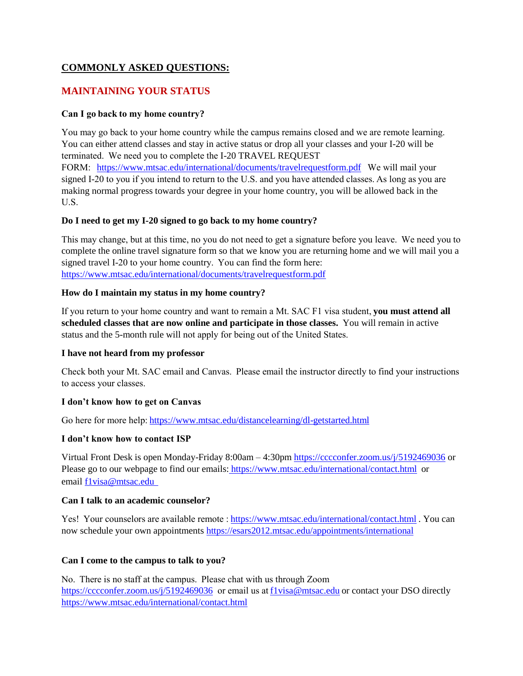# **COMMONLY ASKED QUESTIONS:**

# **MAINTAINING YOUR STATUS**

### **Can I go back to my home country?**

FORM: <https://www.mtsac.edu/international/documents/travelrequestform.pdf>We will mail your making normal progress towards your degree in your home country, you will be allowed back in the You may go back to your home country while the campus remains closed and we are remote learning.  You can either attend classes and stay in active status or drop all your classes and your I-20 will be terminated.  We need you to complete the I-20 TRAVEL REQUEST signed I-20 to you if you intend to return to the U.S. and you have attended classes. As long as you are U.S. 

### **Do I need to get my I-20 signed to go back to my home country?**

This may change, but at this time, no you do not need to get a signature before you leave.  We need you to complete the online travel signature form so that we know you are returning home and we will mail you a signed travel I-20 to your home country.  You can find the form here: <https://www.mtsac.edu/international/documents/travelrequestform.pdf>

### **How do I maintain my status in my home country?**

If you return to your home country and want to remain a Mt. SAC F1 visa student, **you must attend all scheduled classes that are now online and participate in those classes.** You will remain in active status and the 5-month rule will not apply for being out of the United States. 

### **I have not heard from my professor**

 Check both your Mt. SAC email and Canvas.  Please email the instructor directly to find your instructions to access your classes. 

## **I don't know how to get on Canvas**

Go here for more help: <https://www.mtsac.edu/distancelearning/dl-getstarted.html>

### **I don't know how to contact ISP**

Virtual Front Desk is open Monday-Friday 8:00am – 4:30pm<https://cccconfer.zoom.us/j/5192469036>or Please go to our webpage to find our emails[: https://www.mtsac.edu/international/contact.html](https://www.mtsac.edu/international/contact.html) or email [f1visa@mtsac.edu](mailto:f1visa@mtsac.edu) 

### **Can I talk to an academic counselor?**

Yes! Your counselors are available remote : <https://www.mtsac.edu/international/contact.html>. You can now schedule your own appointments<https://esars2012.mtsac.edu/appointments/international>

## **Can I come to the campus to talk to you?**

<https://cccconfer.zoom.us/j/5192469036>or email us at flyisa@mtsac.edu or contact your DSO directly No.  There is no staff at the campus.  Please chat with us through Zoom <https://www.mtsac.edu/international/contact.html>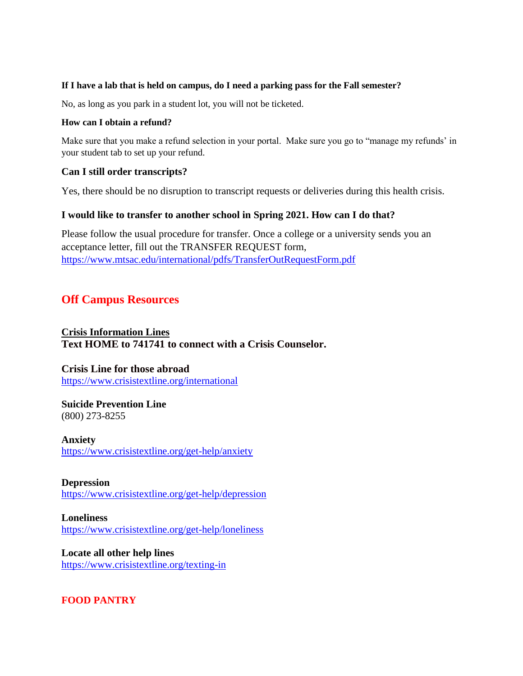### **If I have a lab that is held on campus, do I need a parking pass for the Fall semester?**

No, as long as you park in a student lot, you will not be ticketed.

### **How can I obtain a refund?**

 your student tab to set up your refund. Make sure that you make a refund selection in your portal. Make sure you go to "manage my refunds' in

## **Can I still order transcripts?**

Yes, there should be no disruption to transcript requests or deliveries during this health crisis.

## **I would like to transfer to another school in Spring 2021. How can I do that?**

Please follow the usual procedure for transfer. Once a college or a university sends you an acceptance letter, fill out the TRANSFER REQUEST form, <https://www.mtsac.edu/international/pdfs/TransferOutRequestForm.pdf>

# **Off Campus Resources**

**Crisis Information Lines Text HOME to 741741 to connect with a Crisis Counselor.** 

**Crisis Line for those abroad**  <https://www.crisistextline.org/international>

### **Suicide Prevention Line**  (800) 273-8255

**Anxiety**  <https://www.crisistextline.org/get-help/anxiety>

### **Depression**

<https://www.crisistextline.org/get-help/depression>

# **Loneliness**

<https://www.crisistextline.org/get-help/loneliness>

## **Locate all other help lines**  <https://www.crisistextline.org/texting-in>

# **FOOD PANTRY**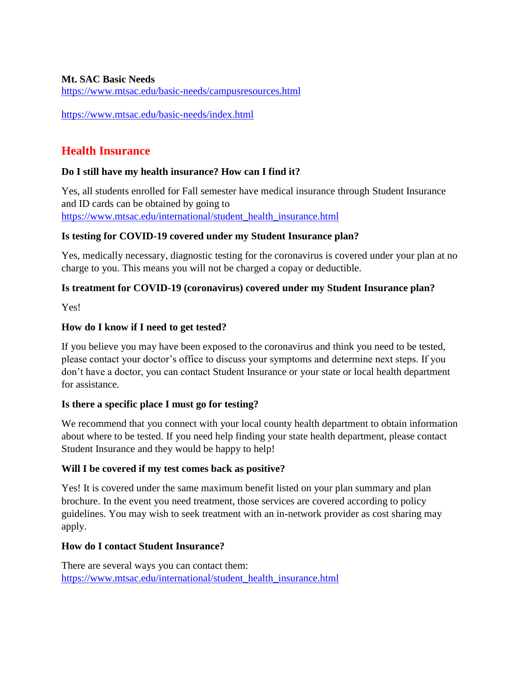## **Mt. SAC Basic Needs**

<https://www.mtsac.edu/basic-needs/campusresources.html>

## <https://www.mtsac.edu/basic-needs/index.html>

# **Health Insurance**

# **Do I still have my health insurance? How can I find it?**

Yes, all students enrolled for Fall semester have medical insurance through Student Insurance and ID cards can be obtained by going to [https://www.mtsac.edu/international/student\\_health\\_insurance.html](https://www.mtsac.edu/international/student_health_insurance.html) 

## **Is testing for COVID-19 covered under my Student Insurance plan?**

Yes, medically necessary, diagnostic testing for the coronavirus is covered under your plan at no charge to you. This means you will not be charged a copay or deductible.

# **Is treatment for COVID-19 (coronavirus) covered under my Student Insurance plan?**

Yes!

## **How do I know if I need to get tested?**

 If you believe you may have been exposed to the coronavirus and think you need to be tested, please contact your doctor's office to discuss your symptoms and determine next steps. If you don't have a doctor, you can contact Student Insurance or your state or local health department for assistance.

## **Is there a specific place I must go for testing?**

We recommend that you connect with your local county health department to obtain information about where to be tested. If you need help finding your state health department, please contact Student Insurance and they would be happy to help!

# **Will I be covered if my test comes back as positive?**

Yes! It is covered under the same maximum benefit listed on your plan summary and plan brochure. In the event you need treatment, those services are covered according to policy guidelines. You may wish to seek treatment with an in-network provider as cost sharing may apply.

## **How do I contact Student Insurance?**

There are several ways you can contact them: [https://www.mtsac.edu/international/student\\_health\\_insurance.html](https://www.mtsac.edu/international/student_health_insurance.html)